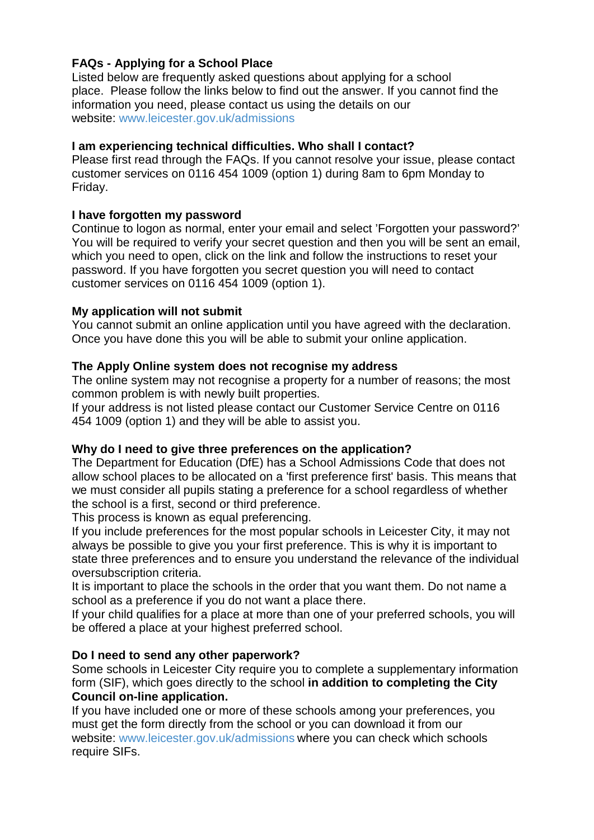# **FAQs - Applying for a School Place**

Listed below are frequently asked questions about applying for a school place. Please follow the links below to find out the answer. If you cannot find the information you need, please contact us using the details on our website: [www.leicester.gov.uk/admissions](http://www.leicester.gov.uk/admissions)

# **I am experiencing technical difficulties. Who shall I contact?**

Please first read through the FAQs. If you cannot resolve your issue, please contact customer services on 0116 454 1009 (option 1) during 8am to 6pm Monday to Friday.

## **I have forgotten my password**

Continue to logon as normal, enter your email and select 'Forgotten your password?' You will be required to verify your secret question and then you will be sent an email, which you need to open, click on the link and follow the instructions to reset your password. If you have forgotten you secret question you will need to contact customer services on 0116 454 1009 (option 1).

## **My application will not submit**

You cannot submit an online application until you have agreed with the declaration. Once you have done this you will be able to submit your online application.

## **The Apply Online system does not recognise my address**

The online system may not recognise a property for a number of reasons; the most common problem is with newly built properties.

If your address is not listed please contact our Customer Service Centre on 0116 454 1009 (option 1) and they will be able to assist you.

## **Why do I need to give three preferences on the application?**

The Department for Education (DfE) has a School Admissions Code that does not allow school places to be allocated on a 'first preference first' basis. This means that we must consider all pupils stating a preference for a school regardless of whether the school is a first, second or third preference.

This process is known as equal preferencing.

If you include preferences for the most popular schools in Leicester City, it may not always be possible to give you your first preference. This is why it is important to state three preferences and to ensure you understand the relevance of the individual oversubscription criteria.

It is important to place the schools in the order that you want them. Do not name a school as a preference if you do not want a place there.

If your child qualifies for a place at more than one of your preferred schools, you will be offered a place at your highest preferred school.

# **[Do I need to send any other paperwork?](http://www3.northamptonshire.gov.uk/councilservices/children-families-education/schools-and-education/school-admissions/primary-school-places/Pages/how-to-apply-for-a-primary-school-place.aspx#collapse3)**

Some schools in Leicester City require you to complete a supplementary information form (SIF), which goes directly to the school **in addition to completing the City Council on-line application.** 

If you have included one or more of these schools among your preferences, you must get the form directly from the school or you can download it from our website: [www.leicester.gov.uk/admissions](http://www.leicester.gov.uk/admissions) where you can check which schools require SIFs.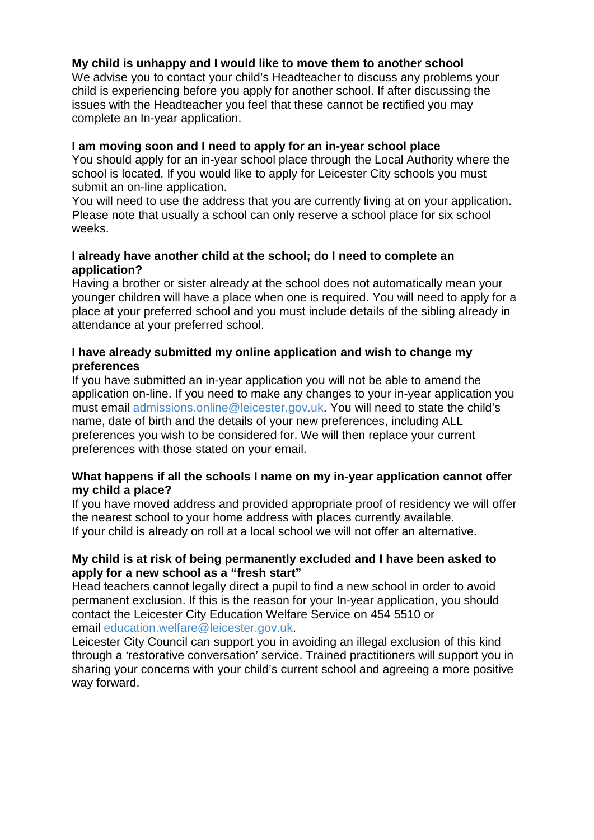## **My child is unhappy and I would like to move them to another school**

We advise you to contact your child's Headteacher to discuss any problems your child is experiencing before you apply for another school. If after discussing the issues with the Headteacher you feel that these cannot be rectified you may complete an In-year application.

#### **I am moving soon and I need to apply for an in-year school place**

You should apply for an in-year school place through the Local Authority where the school is located. If you would like to apply for Leicester City schools you must submit an on-line application.

You will need to use the address that you are currently living at on your application. Please note that usually a school can only reserve a school place for six school weeks.

## **I already have another child at the school; do I need to complete an application?**

Having a brother or sister already at the school does not automatically mean your younger children will have a place when one is required. You will need to apply for a place at your preferred school and you must include details of the sibling already in attendance at your preferred school.

## **I have already submitted my online application and wish to change my preferences**

If you have submitted an in-year application you will not be able to amend the application on-line. If you need to make any changes to your in-year application you must email [admissions.online@leicester.gov.uk.](mailto:admissions.online@leicester.gov.uk) You will need to state the child's name, date of birth and the details of your new preferences, including ALL preferences you wish to be considered for. We will then replace your current preferences with those stated on your email.

## **What happens if all the schools I name on my in-year application cannot offer my child a place?**

If you have moved address and provided appropriate proof of residency we will offer the nearest school to your home address with places currently available. If your child is already on roll at a local school we will not offer an alternative.

## **My child is at risk of being permanently excluded and I have been asked to apply for a new school as a "fresh start"**

Head teachers cannot legally direct a pupil to find a new school in order to avoid permanent exclusion. If this is the reason for your In-year application, you should contact the Leicester City Education Welfare Service on 454 5510 or email [education.welfare@leicester.gov.uk.](mailto:education.welfare@leicester.gov.uk)

Leicester City Council can support you in avoiding an illegal exclusion of this kind through a 'restorative conversation' service. Trained practitioners will support you in sharing your concerns with your child's current school and agreeing a more positive way forward.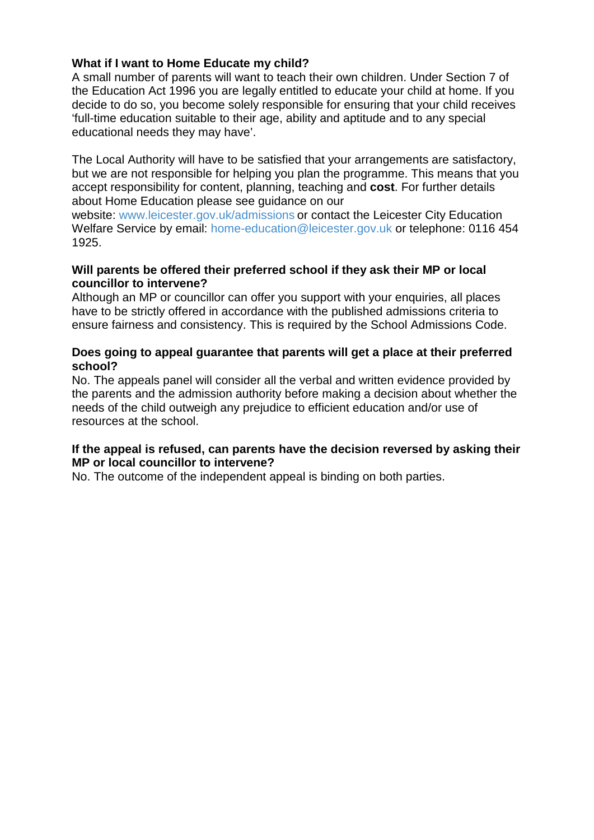## **What if I want to Home Educate my child?**

A small number of parents will want to teach their own children. Under Section 7 of the Education Act 1996 you are legally entitled to educate your child at home. If you decide to do so, you become solely responsible for ensuring that your child receives 'full-time education suitable to their age, ability and aptitude and to any special educational needs they may have'.

The Local Authority will have to be satisfied that your arrangements are satisfactory, but we are not responsible for helping you plan the programme. This means that you accept responsibility for content, planning, teaching and **cost**. For further details about Home Education please see guidance on our

website: [www.leicester.gov.uk/admissions](http://www.leicester.gov.uk/admissions) or contact the Leicester City Education Welfare Service by email: [home-education@leicester.gov.uk](mailto:home-education@leicester.gov.uk) or telephone: 0116 454 1925.

## **Will parents be offered their preferred school if they ask their MP or local councillor to intervene?**

Although an MP or councillor can offer you support with your enquiries, all places have to be strictly offered in accordance with the published admissions criteria to ensure fairness and consistency. This is required by the School Admissions Code.

## **Does going to appeal guarantee that parents will get a place at their preferred school?**

No. The appeals panel will consider all the verbal and written evidence provided by the parents and the admission authority before making a decision about whether the needs of the child outweigh any prejudice to efficient education and/or use of resources at the school.

## **If the appeal is refused, can parents have the decision reversed by asking their MP or local councillor to intervene?**

No. The outcome of the independent appeal is binding on both parties.